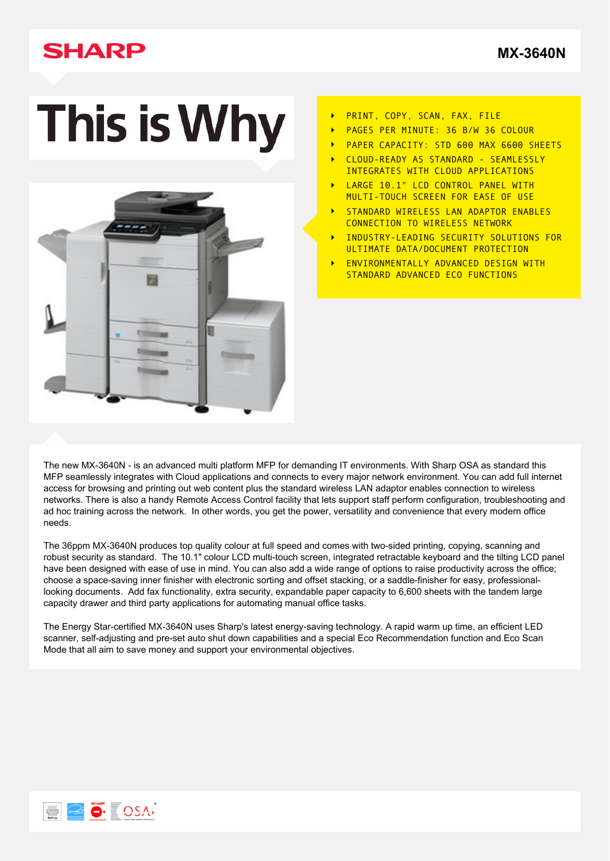## **SHARP**

**[MX-3640N](http://www.sharp.co.uk/cps/rde/xchg/gb/hs.xsl/-/html/product-details.htm?product=MX3640N&cat=341)**

# This is Why



- PRINT, COPY, SCAN, FAX, FILE  $\ddot{\phantom{1}}$
- PAGES PER MINUTE: 36 B/W 36 COLOUR
- PAPER CAPACITY: STD 600 MAX 6600 SHEETS
- CLOUD-READY AS STANDARD SEAMLESSLY INTEGRATES WITH CLOUD APPLICATIONS
- LARGE 10.1" LCD CONTROL PANEL WITH MULTI-TOUCH SCREEN FOR EASE OF USE
- STANDARD WIRELESS LAN ADAPTOR ENABLES CONNECTION TO WIRELESS NETWORK
- INDUSTRY-LEADING SECURITY SOLUTIONS FOR ULTIMATE DATA/DOCUMENT PROTECTION
- ENVIRONMENTALLY ADVANCED DESIGN WITH STANDARD ADVANCED ECO FUNCTIONS

The new MX-3640N - is an advanced multi platform MFP for demanding IT environments. With Sharp OSA as standard this MFP seamlessly integrates with Cloud applications and connects to every major network environment. You can add full internet access for browsing and printing out web content plus the standard wireless LAN adaptor enables connection to wireless networks. There is also a handy Remote Access Control facility that lets support staff perform configuration, troubleshooting and ad hoc training across the network. In other words, you get the power, versatility and convenience that every modern office needs.

The 36ppm MX-3640N produces top quality colour at full speed and comes with two-sided printing, copying, scanning and robust security as standard. The 10.1" colour LCD multi-touch screen, integrated retractable keyboard and the tilting LCD panel have been designed with ease of use in mind. You can also add a wide range of options to raise productivity across the office; choose a space-saving inner finisher with electronic sorting and offset stacking, or a saddle-finisher for easy, professionallooking documents. Add fax functionality, extra security, expandable paper capacity to 6,600 sheets with the tandem large capacity drawer and third party applications for automating manual office tasks.

The Energy Star-certified MX-3640N uses Sharp's latest energy-saving technology. A rapid warm up time, an efficient LED scanner, self-adjusting and pre-set auto shut down capabilities and a special Eco Recommendation function and Eco Scan Mode that all aim to save money and support your environmental objectives.